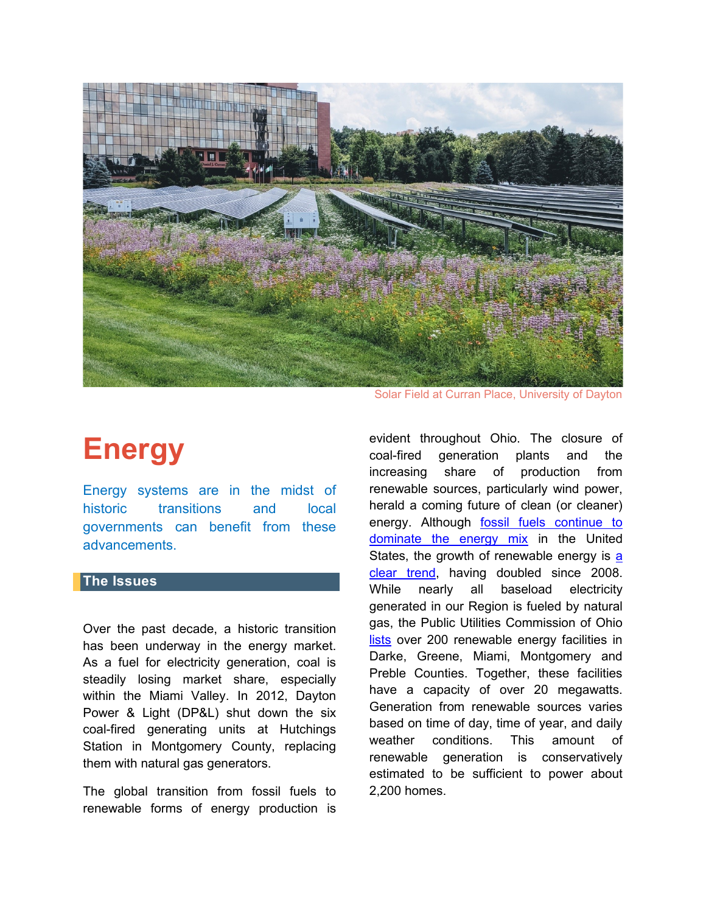

Solar Field at Curran Place, University of Dayton

# **Energy**

Energy systems are in the midst of historic transitions and local governments can benefit from these advancements.

#### **The Issues**

Over the past decade, a historic transition has been underway in the energy market. As a fuel for electricity generation, coal is steadily losing market share, especially within the Miami Valley. In 2012, Dayton Power & Light (DP&L) shut down the six coal-fired generating units at Hutchings Station in Montgomery County, replacing them with natural gas generators.

The global transition from fossil fuels to renewable forms of energy production is

evident throughout Ohio. The closure of coal-fired generation plants and the increasing share of production from renewable sources, particularly wind power, herald a coming future of clean (or cleaner) energy. Although [fossil fuels continue to](https://www.americangeosciences.org/critical-issues/faq/what-are-major-sources-and-users-energy-united-states)  [dominate the energy mix](https://www.americangeosciences.org/critical-issues/faq/what-are-major-sources-and-users-energy-united-states) in the United States, the growth of renewable energy is a [clear trend,](https://www.eia.gov/todayinenergy/detail.php?id=38752) having doubled since 2008. While nearly all baseload electricity generated in our Region is fueled by natural gas, the Public Utilities Commission of Ohio [lists](https://www.puco.ohio.gov/industry-information/industry-topics/ohioe28099s-renewable-and-advanced-energy-portfolio-standard/) over 200 renewable energy facilities in Darke, Greene, Miami, Montgomery and Preble Counties. Together, these facilities have a capacity of over 20 megawatts. Generation from renewable sources varies based on time of day, time of year, and daily weather conditions. This amount of renewable generation is conservatively estimated to be sufficient to power about 2,200 homes.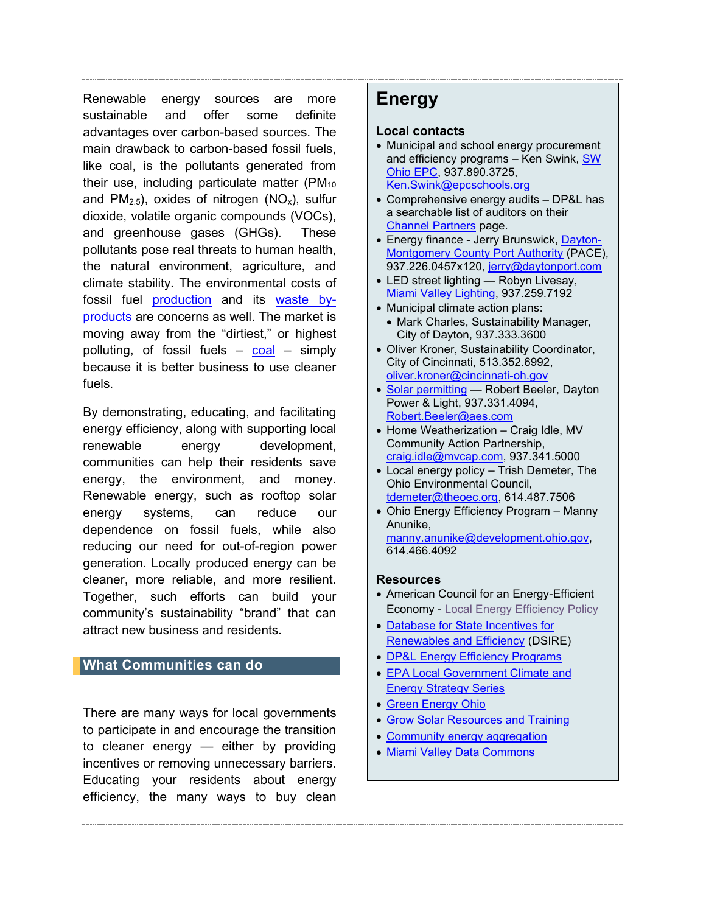Renewable energy sources are more sustainable and offer some definite advantages over carbon-based sources. The main drawback to carbon-based fossil fuels, like coal, is the pollutants generated from their use, including particulate matter ( $PM_{10}$ ) and  $PM_{2.5}$ , oxides of nitrogen  $(NO_x)$ , sulfur dioxide, volatile organic compounds (VOCs), and greenhouse gases (GHGs). These pollutants pose real threats to human health, the natural environment, agriculture, and climate stability. The environmental costs of fossil fuel [production](https://www.americangeosciences.org/geoscience-currents/methane-emissions-oil-and-gas-industry) and its [waste by](https://content.sierraclub.org/coal/disposal-ash-waste)[products](https://content.sierraclub.org/coal/disposal-ash-waste) are concerns as well. The market is moving away from the "dirtiest," or highest polluting, of fossil fuels  $-$  [coal](https://www.renewableenergyworld.com/ugc/articles/2019/07/08/the-rise-of-clean-energy-and-the-slow-steady-death-of-coal.html#gref)  $-$  simply because it is better business to use cleaner fuels.

By demonstrating, educating, and facilitating energy efficiency, along with supporting local renewable energy development, communities can help their residents save energy, the environment, and money. Renewable energy, such as rooftop solar energy systems, can reduce our dependence on fossil fuels, while also reducing our need for out-of-region power generation. Locally produced energy can be cleaner, more reliable, and more resilient. Together, such efforts can build your community's sustainability "brand" that can attract new business and residents.

#### **What Communities can do**

There are many ways for local governments to participate in and encourage the transition to cleaner energy — either by providing incentives or removing unnecessary barriers. Educating your residents about energy efficiency, the many ways to buy clean

# **Energy**

#### **Local contacts**

- Municipal and school energy procurement and efficiency programs - Ken Swink, SW [Ohio EPC,](http://www.epcschools.org/) 937.890.3725, [Ken.Swink@epcschools.org](mailto:Ken.Swink@epcschools.org)
- Comprehensive energy audits DP&L has a searchable list of auditors on their [Channel Partners](https://www.dpandl.com/Save-Energy-and-Money/For-Your-Business/Channel-Partners/) page.
- Energy finance Jerry Brunswick, [Dayton-](http://www.daytonport.com/index.html)[Montgomery County Port Authority](http://www.daytonport.com/index.html) (PACE), 937.226.0457x120, [jerry@daytonport.com](mailto:jerry@daytonport.com)
- LED street lighting Robyn Livesay, [Miami Valley Lighting,](https://lightingsimplified.com/) 937.259.7192
- Municipal climate action plans: • Mark Charles, Sustainability Manager,
- City of Dayton, 937.333.3600 • Oliver Kroner, Sustainability Coordinator, City of Cincinnati, 513.352.6992, [oliver.kroner@cincinnati-oh.gov](mailto:oliver.kroner@cincinnati-oh.gov)
- [Solar permitting](https://www.dpandl.com/My-Account/Service-Options/Renewable-Energy/Renewable-Energy-Connection-Process/) Robert Beeler, Dayton Power & Light, 937.331.4094, [Robert.Beeler@aes.com](mailto:Robert.Beeler@aes.com)
- Home Weatherization Craig Idle, MV Community Action Partnership, [craig.idle@mvcap.com,](mailto:craig.idle@mvcap.com) 937.341.5000
- Local energy policy Trish Demeter, The Ohio Environmental Council, [tdemeter@theoec.org,](mailto:tdemeter@theoec.org) 614.487.7506
- Ohio Energy Efficiency Program Manny Anunike, [manny.anunike@development.ohio.gov,](mailto:manny.anunike@development.ohio.gov) 614.466.4092

#### **Resources**

- American Council for an Energy-Efficient Economy - [Local Energy Efficiency Policy](https://aceee.org/portal/local-policy)
- [Database for State Incentives for](https://www.dsireusa.org/)  [Renewables and Efficiency](https://www.dsireusa.org/) (DSIRE)
- [DP&L Energy Efficiency Programs](https://www.dpandl.com/Save-Energy-and-Money/)
- [EPA Local Government Climate and](https://19january2017snapshot.epa.gov/statelocalclimate/local-government-climate-and-energy-strategy-series_.html)  [Energy Strategy Series](https://19january2017snapshot.epa.gov/statelocalclimate/local-government-climate-and-energy-strategy-series_.html)
- [Green Energy Ohio](https://www.greenenergyoh.org/)
- [Grow Solar Resources and Training](https://www.growsolar.org/permitting/)
- [Community energy aggregation](https://www.puco.ohio.gov/be-informed/consumer-topics/governmental-energy-aggregation-local-community-buying-power/)
- [Miami Valley Data Commons](https://www.mvrpc.org/data-mapping/miami-valley-data-commons)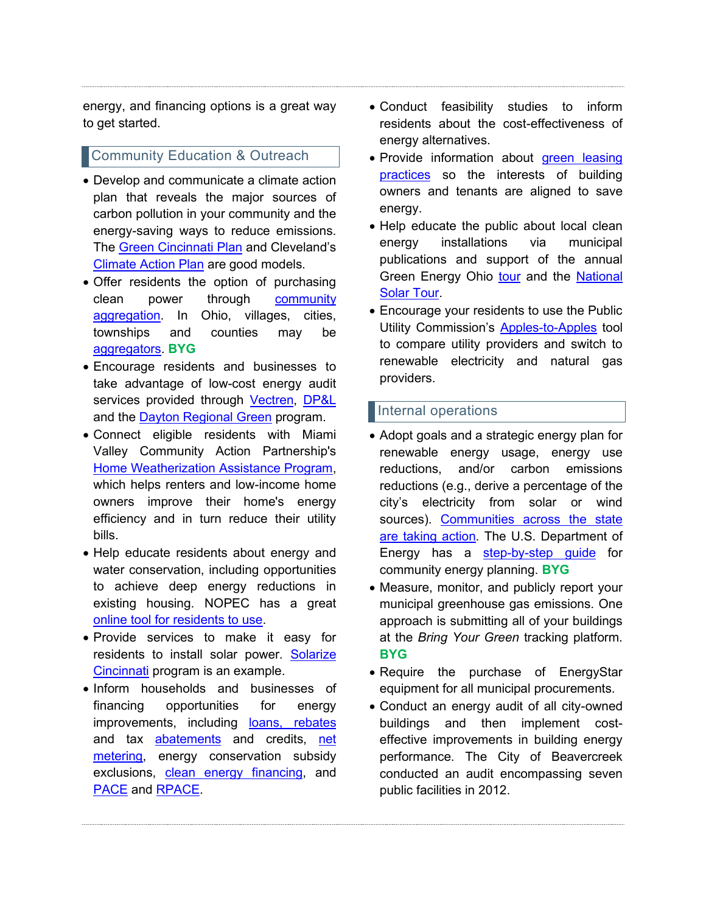energy, and financing options is a great way to get started.

## **Community Education & Outreach**

- Develop and communicate a climate action plan that reveals the major sources of carbon pollution in your community and the energy-saving ways to reduce emissions. The [Green Cincinnati Plan](https://www.cincinnati-oh.gov/oes/citywide-efforts/climate-protection-green-cincinnati-plan/) and Cleveland's [Climate Action Plan](https://www.sustainablecleveland.org/climate_action) are good models.
- Offer residents the option of purchasing clean power through [community](https://worthington.org/DocumentCenter/View/5512/letter-to-eligable-residents?bidId=)  [aggregation.](https://worthington.org/DocumentCenter/View/5512/letter-to-eligable-residents?bidId=) In Ohio, villages, cities, townships and counties may be [aggregators.](https://www.puco.ohio.gov/puco/index.cfm/utility-maps/electric-maps/electric-government-aggregator-interactive-map/) **BYG**
- Encourage residents and businesses to take advantage of low-cost energy audit services provided through [Vectren,](https://www.vectren.com/savings/oh-home) [DP&L](https://www.dpandl.com/Save-Energy-and-Money/For-Your-Home/) and the [Dayton Regional Green](http://www.drg3.org/green-business-certification-pages/SubEnergyAudits.cfm) program.
- Connect eligible residents with Miami Valley Community Action Partnership's [Home Weatherization Assistance Program,](https://miamivalleycap.org/weatherization/) which helps renters and low-income home owners improve their home's energy efficiency and in turn reduce their utility bills.
- Help educate residents about energy and water conservation, including opportunities to achieve deep energy reductions in existing housing. NOPEC has a great [online tool for residents to use.](https://www.nopec.org/residents/energy-tips/)
- Provide services to make it easy for residents to install solar power. Solarize [Cincinnati](https://greatercea.org/) program is an example.
- Inform households and businesses of financing opportunities for energy improvements, including [loans, rebates](http://www.tos.ohio.gov/ECOLINK) and tax [abatements](https://programs.dsireusa.org/system/program/detail/2809) and credits, [net](https://theoec.org/net-metering/)  [metering,](https://theoec.org/net-metering/) energy conservation subsidy exclusions, [clean energy financing,](http://www.daytonport.com/index.html) and [PACE](https://ohioeda.com/wp-content/uploads/2017/10/Weds-130-Pace-Financing-1.pdf) and [RPACE.](https://www.bricker.com/insights-resources/publications/ohio-will-become-fourth-state-to-offer-residential-pace-for-energy-improvements)
- Conduct feasibility studies to inform residents about the cost-effectiveness of energy alternatives.
- Provide information about green leasing [practices](https://www.go-gba.org/resources/green-building-methods/green-leasing/) so the interests of building owners and tenants are aligned to save energy.
- Help educate the public about local clean energy installations via municipal publications and support of the annual Green Energy Ohio [tour](https://www.greenenergyoh.org/2018-green-energy-ohio-tour/) and the [National](https://www.nationalsolartour.org/)  **[Solar Tour.](https://www.nationalsolartour.org/)**
- Encourage your residents to use the Public Utility Commission's [Apples-to-Apples](http://energychoice.ohio.gov/ApplesToApples.aspx) tool to compare utility providers and switch to renewable electricity and natural gas providers.

# Internal operations

- Adopt goals and a strategic energy plan for renewable energy usage, energy use reductions, and/or carbon emissions reductions (e.g., derive a percentage of the city's electricity from solar or wind sources). [Communities across the state](https://theoec.org/blog/climate-action/)  [are taking action.](https://theoec.org/blog/climate-action/) The U.S. Department of Energy has a [step-by-step guide](https://www.energy.gov/eere/slsc/guide-community-energy-strategic-planning) for community energy planning. **BYG**
- Measure, monitor, and publicly report your municipal greenhouse gas emissions. One approach is submitting all of your buildings at the *Bring Your Green* tracking platform. **BYG**
- Require the purchase of EnergyStar equipment for all municipal procurements.
- Conduct an energy audit of all city-owned buildings and then implement costeffective improvements in building energy performance. The City of Beavercreek conducted an audit encompassing seven public facilities in 2012.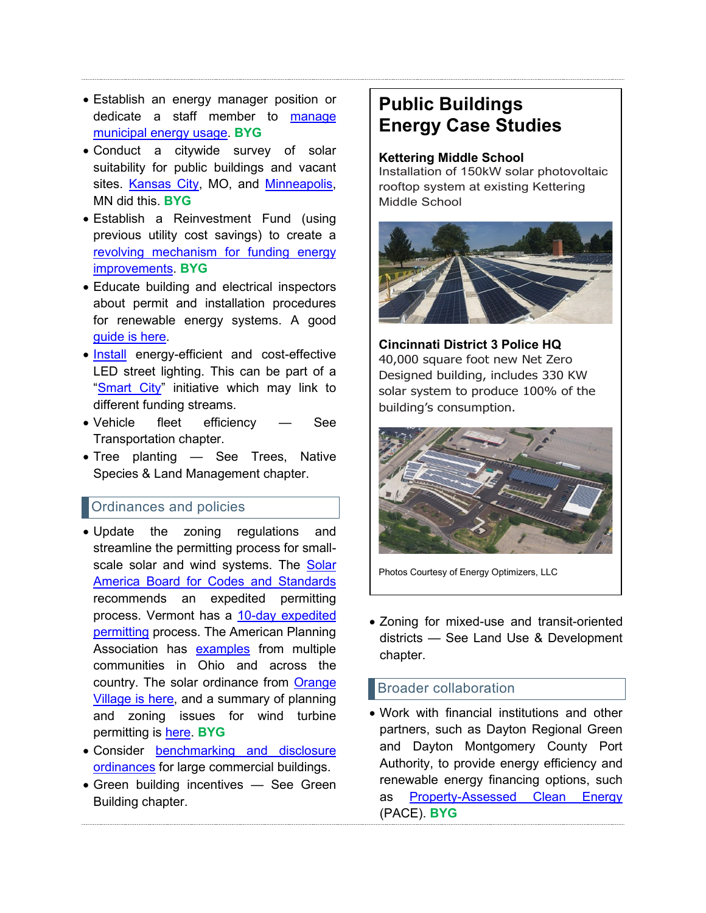- Establish an energy manager position or dedicate a staff member to manage [municipal energy usage.](https://www.dvrpc.org/Reports/15020.pdf) **BYG**
- Conduct a citywide survey of solar suitability for public buildings and vacant sites. [Kansas City,](https://ilsr.org/solar-potential-on-public-buildings-in-kansas-city/) MO, and [Minneapolis,](http://www.minneapolismn.gov/sustainability/buildings-energy/solar) MN did this. **BYG**
- Establish a Reinvestment Fund (using previous utility cost savings) to create a [revolving mechanism for funding energy](https://www.c40.org/case_studies/an-energy-efficiency-fund-costing-500000-over-five-years-that-is-reducing-co2-emissions-by-980-tonnes-annually)  [improvements.](https://www.c40.org/case_studies/an-energy-efficiency-fund-costing-500000-over-five-years-that-is-reducing-co2-emissions-by-980-tonnes-annually) **BYG**
- Educate building and electrical inspectors about permit and installation procedures for renewable energy systems. A good [guide is here.](http://www.solarabcs.org/about/publications/reports/expedited-permit/pdfs/expermitprocess.pdf)
- [Install](https://www.daytondailynews.com/news/local-govt--politics/dayton-upgrading-streetlights-through-assessment-program/iUpPdwCiaon1N52bnvfcrK/) energy-efficient and cost-effective LED street lighting. This can be part of a "[Smart City](https://www.routefifty.com/smart-cities/2019/07/new-york-street-lights-do-more-illuminate-city/158429/)" initiative which may link to different funding streams.
- Vehicle fleet efficiency See Transportation chapter.
- Tree planting See Trees, Native Species & Land Management chapter.

## **Ordinances and policies**

- Update the zoning regulations and streamline the permitting process for smallscale solar and wind systems. The [Solar](http://www.solarabcs.org/)  [America Board for Codes and Standards](http://www.solarabcs.org/) recommends an expedited permitting process. Vermont has a [10-day expedited](https://www.cesa.org/assets/2016-Files/VT-Solar-Guide.pdf)  [permitting](https://www.cesa.org/assets/2016-Files/VT-Solar-Guide.pdf) process. The American Planning Association has [examples](https://www.planning.org/pas/infopackets/eip30.htm) from multiple communities in Ohio and across the country. The solar ordinance from [Orange](http://www.gcbl.org/files/resources/orangesolarpanelordinance.pdf)  [Village is here,](http://www.gcbl.org/files/resources/orangesolarpanelordinance.pdf) and a summary of planning and zoning issues for wind turbine permitting is [here.](https://www.planning.org/publications/document/9027706/) **BYG**
- Consider [benchmarking and disclosure](https://www.energy.gov/eere/slsc/state-and-local-energy-benchmarking-and-disclosure-policy)  [ordinances](https://www.energy.gov/eere/slsc/state-and-local-energy-benchmarking-and-disclosure-policy) for large commercial buildings.
- Green building incentives See Green Building chapter.

# **Public Buildings Energy Case Studies**

#### **Kettering Middle School**

Installation of 150kW solar photovoltaic rooftop system at existing Kettering Middle School



**Cincinnati District 3 Police HQ** 40,000 square foot new Net Zero Designed building, includes 330 KW solar system to produce 100% of the building's consumption.



Photos Courtesy of Energy Optimizers, LLC

• Zoning for mixed-use and transit-oriented districts — See Land Use & Development chapter.

## Broader collaboration

• Work with financial institutions and other partners, such as Dayton Regional Green and Dayton Montgomery County Port Authority, to provide energy efficiency and renewable energy financing options, such as [Property-Assessed Clean Energy](http://www.drg3.org/Sustainability_Luncheons/Feb%202015%20Luncheon/PACE%20Financing.pdf) (PACE). **BYG**